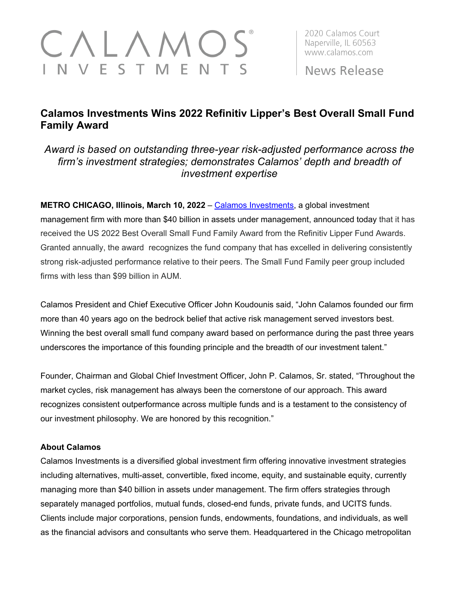## $\wedge$  L  $\wedge$   $\wedge$ N V E S T M E N T S

2020 Calamos Court Naperville, IL 60563 www.calamos.com

News Release

## **Calamos Investments Wins 2022 Refinitiv Lipper's Best Overall Small Fund Family Award**

*Award is based on outstanding three-year risk-adjusted performance across the firm's investment strategies; demonstrates Calamos' depth and breadth of investment expertise*

**METRO CHICAGO, Illinois, March 10, 2022** – [Calamos Investments,](http://www.calamos.com/) a global investment

management firm with more than \$40 billion in assets under management, announced today that it has received the US 2022 Best Overall Small Fund Family Award from the Refinitiv Lipper Fund Awards. Granted annually, the award recognizes the fund company that has excelled in delivering consistently strong risk-adjusted performance relative to their peers. The Small Fund Family peer group included firms with less than \$99 billion in AUM.

Calamos President and Chief Executive Officer John Koudounis said, "John Calamos founded our firm more than 40 years ago on the bedrock belief that active risk management served investors best. Winning the best overall small fund company award based on performance during the past three years underscores the importance of this founding principle and the breadth of our investment talent."

Founder, Chairman and Global Chief Investment Officer, John P. Calamos, Sr. stated, "Throughout the market cycles, risk management has always been the cornerstone of our approach. This award recognizes consistent outperformance across multiple funds and is a testament to the consistency of our investment philosophy. We are honored by this recognition."

## **About Calamos**

Calamos Investments is a diversified global investment firm offering innovative investment strategies including alternatives, multi-asset, convertible, fixed income, equity, and sustainable equity, currently managing more than \$40 billion in assets under management. The firm offers strategies through separately managed portfolios, mutual funds, closed-end funds, private funds, and UCITS funds. Clients include major corporations, pension funds, endowments, foundations, and individuals, as well as the financial advisors and consultants who serve them. Headquartered in the Chicago metropolitan